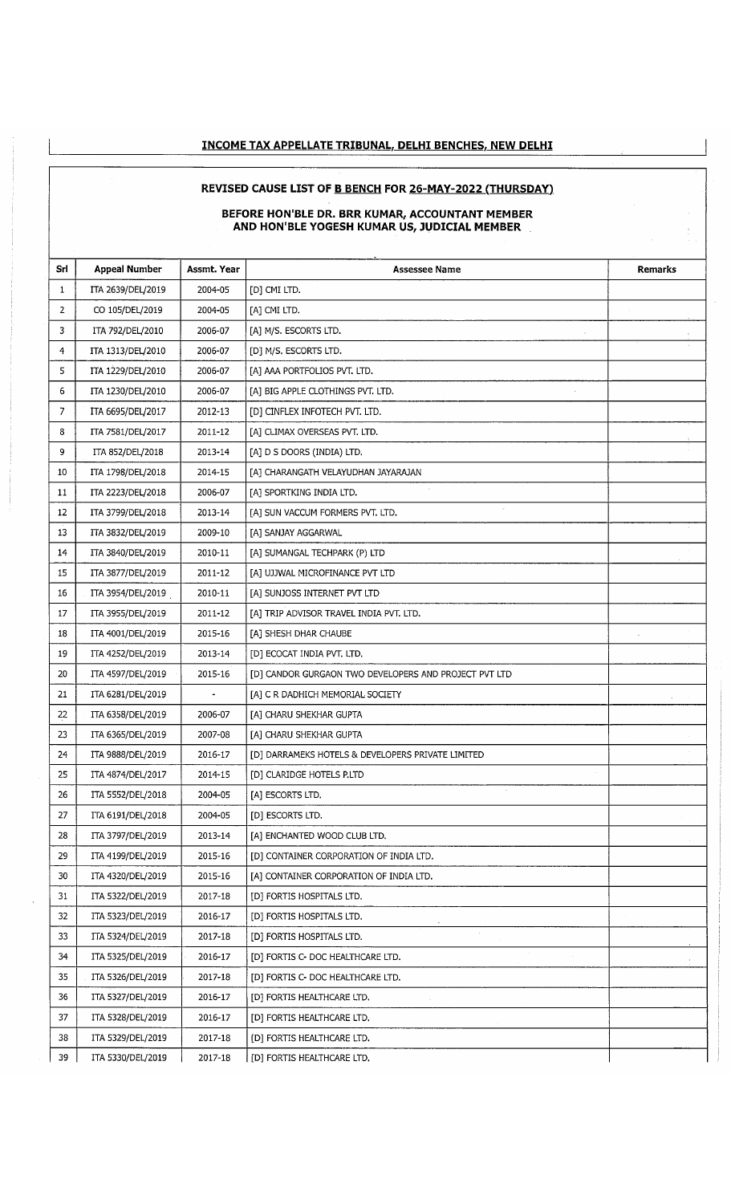## **INCOME TAX APPELLATE TRIBUNAL. DELHI BENCHES. NEW DELHI**

# **REVISED CAUSE LIST OF B BENCH FOR 26-MAY-2022 (THURSDAY!**

#### **BEFORE HON'BLE DR. BRR KUMAR, ACCOUNTANT MEMBER AND HON'BLE YOGESH KUMAR US, JUDICIAL MEMBER**

J.

| Srl            | <b>Appeal Number</b> | Assmt. Year       | <b>Assessee Name</b>                                  | Remarks |
|----------------|----------------------|-------------------|-------------------------------------------------------|---------|
| 1              | ITA 2639/DEL/2019    | 2004-05           | [D] CMI LTD.                                          |         |
| 2              | CO 105/DEL/2019      | 2004-05           | [A] CMI LTD.                                          |         |
| 3              | ITA 792/DEL/2010     | 2006-07           | [A] M/S. ESCORTS LTD.                                 |         |
| 4              | ITA 1313/DEL/2010    | 2006-07           | [D] M/S. ESCORTS LTD.                                 |         |
| 5              | ITA 1229/DEL/2010    | 2006-07           | [A] AAA PORTFOLIOS PVT. LTD.                          |         |
| 6              | ITA 1230/DEL/2010    | 2006-07           | [A] BIG APPLE CLOTHINGS PVT. LTD.                     |         |
| $\overline{7}$ | ITA 6695/DEL/2017    | 2012-13           | [D] CINFLEX INFOTECH PVT. LTD.                        |         |
| 8              | ITA 7581/DEL/2017    | 2011-12           | [A] CLIMAX OVERSEAS PVT. LTD.                         |         |
| 9              | ITA 852/DEL/2018     | 2013-14           | [A] D S DOORS (INDIA) LTD.                            |         |
| 10             | ITA 1798/DEL/2018    | 2014-15           | [A] CHARANGATH VELAYUDHAN JAYARAJAN                   |         |
| 11             | ITA 2223/DEL/2018    | 2006-07           | [A] SPORTKING INDIA LTD.                              |         |
| 12             | ITA 3799/DEL/2018    | 2013-14           | [A] SUN VACCUM FORMERS PVT. LTD.                      |         |
| 13             | ITA 3832/DEL/2019    | 2009-10           | [A] SANJAY AGGARWAL                                   |         |
| 14             | ITA 3840/DEL/2019    | 2010-11           | [A] SUMANGAL TECHPARK (P) LTD                         |         |
| $-15$          | ITA 3877/DEL/2019    | 2011-12           | [A] UJJWAL MICROFINANCE PVT LTD                       |         |
| 16             | ITA 3954/DEL/2019    | 2010-11           | [A] SUNJOSS INTERNET PVT LTD                          |         |
| 17             | ITA 3955/DEL/2019    | 2011-12           | [A] TRIP ADVISOR TRAVEL INDIA PVT. LTD.               |         |
| 18             | ITA 4001/DEL/2019    | 2015-16           | [A] SHESH DHAR CHAUBE                                 |         |
| 19             | ITA 4252/DEL/2019    | 2013-14           | [D] ECOCAT INDIA PVT. LTD.                            |         |
| 20             | ITA 4597/DEL/2019    | 2015-16           | [D] CANDOR GURGAON TWO DEVELOPERS AND PROJECT PVT LTD |         |
| 21             | ITA 6281/DEL/2019    | $\hbox{\small -}$ | [A] C R DADHICH MEMORIAL SOCIETY                      |         |
| 22             | ITA 6358/DEL/2019    | 2006-07           | [A] CHARU SHEKHAR GUPTA                               |         |
| 23             | ITA 6365/DEL/2019    | 2007-08           | [A] CHARU SHEKHAR GUPTA                               |         |
| 24             | ITA 9888/DEL/2019    | 2016-17           | [D] DARRAMEKS HOTELS & DEVELOPERS PRIVATE LIMITED     |         |
| 25             | ITA 4874/DEL/2017    | 2014-15           | [D] CLARIDGE HOTELS P.LTD                             |         |
| 26             | ITA 5552/DEL/2018    | 2004-05           | [A] ESCORTS LTD.                                      |         |
| 27             | ITA 6191/DEL/2018    | 2004-05           | [D] ESCORTS LTD.                                      |         |
| 28             | ITA 3797/DEL/2019    | 2013-14           | [A] ENCHANTED WOOD CLUB LTD.                          |         |
| 29             | ITA 4199/DEL/2019    | 2015-16           | [D] CONTAINER CORPORATION OF INDIA LTD.               |         |
| 30             | ITA 4320/DEL/2019    | 2015-16           | [A] CONTAINER CORPORATION OF INDIA LTD.               |         |
| 31             | ITA 5322/DEL/2019    | 2017-18           | [D] FORTIS HOSPITALS LTD.                             |         |
| 32             | ITA 5323/DEL/2019    | 2016-17           | [D] FORTIS HOSPITALS LTD.                             |         |
| 33             | ITA 5324/DEL/2019    | 2017-18           | [D] FORTIS HOSPITALS LTD.                             |         |
| 34             | ITA 5325/DEL/2019    | 2016-17           | [D] FORTIS C- DOC HEALTHCARE LTD.                     |         |
| 35             | ITA 5326/DEL/2019    | 2017-18           | [D] FORTIS C- DOC HEALTHCARE LTD.                     |         |
| 36             | ITA 5327/DEL/2019    | 2016-17           | [D] FORTIS HEALTHCARE LTD.                            |         |
| 37             | ITA 5328/DEL/2019    | 2016-17           | [D] FORTIS HEALTHCARE LTD.                            |         |
| 38             | ITA 5329/DEL/2019    | 2017-18           | [D] FORTIS HEALTHCARE LTD.                            |         |
| 39             | ITA 5330/DEL/2019    | 2017-18           | [D] FORTIS HEALTHCARE LTD.                            |         |